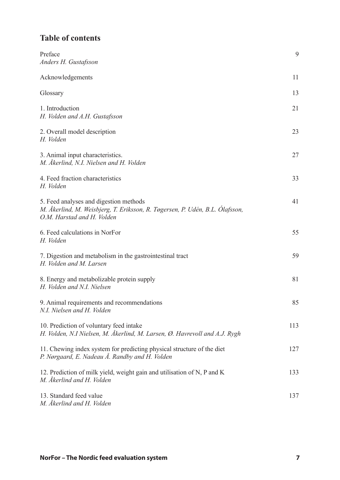## **Table of contents**

| Preface<br>Anders H. Gustafsson                                                                                                                      | 9   |
|------------------------------------------------------------------------------------------------------------------------------------------------------|-----|
| Acknowledgements                                                                                                                                     | 11  |
| Glossary                                                                                                                                             | 13  |
| 1. Introduction<br>H. Volden and A.H. Gustafsson                                                                                                     | 21  |
| 2. Overall model description<br>H. Volden                                                                                                            | 23  |
| 3. Animal input characteristics.<br>M. Åkerlind, N.I. Nielsen and H. Volden                                                                          | 27  |
| 4. Feed fraction characteristics<br>H. Volden                                                                                                        | 33  |
| 5. Feed analyses and digestion methods<br>M. Åkerlind, M. Weisbjerg, T. Eriksson, R. Tøgersen, P. Udén, B.L. Ólafsson,<br>O.M. Harstad and H. Volden | 41  |
| 6. Feed calculations in NorFor<br>H. Volden                                                                                                          | 55  |
| 7. Digestion and metabolism in the gastrointestinal tract<br>H. Volden and M. Larsen                                                                 | 59  |
| 8. Energy and metabolizable protein supply<br>H. Volden and N.I. Nielsen                                                                             | 81  |
| 9. Animal requirements and recommendations<br>N.I. Nielsen and H. Volden                                                                             | 85  |
| 10. Prediction of voluntary feed intake<br>H. Volden, N.I Nielsen, M. Åkerlind, M. Larsen, Ø. Havrevoll and A.J. Rygh                                | 113 |
| 11. Chewing index system for predicting physical structure of the diet<br>P. Nørgaard, E. Nadeau Å. Randby and H. Volden                             | 127 |
| 12. Prediction of milk yield, weight gain and utilisation of N, P and K<br>M. Åkerlind and H. Volden                                                 | 133 |
| 13. Standard feed value<br>M. Åkerlind and H. Volden                                                                                                 | 137 |